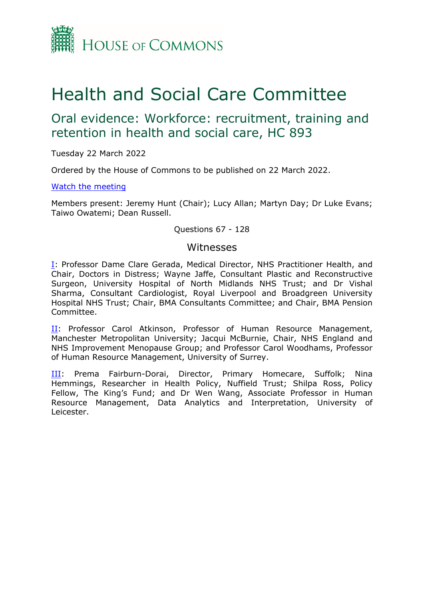

# Health and Social Care Committee

## Oral evidence: Workforce: recruitment, training and retention in health and social care, HC 893

Tuesday 22 March 2022

Ordered by the House of Commons to be published on 22 March 2022.

### [Watch](https://www.parliamentlive.tv/Event/Index/8c1c370d-1267-4261-89d9-9bbd1e6a4d3c) [the](https://www.parliamentlive.tv/Event/Index/8c1c370d-1267-4261-89d9-9bbd1e6a4d3c) [meeting](https://www.parliamentlive.tv/Event/Index/8c1c370d-1267-4261-89d9-9bbd1e6a4d3c)

Members present: Jeremy Hunt (Chair); Lucy Allan; Martyn Day; Dr Luke Evans; Taiwo Owatemi; Dean Russell.

Questions 67 - 128

### Witnesses

[I:](#page-1-0) Professor Dame Clare Gerada, Medical Director, NHS Practitioner Health, and Chair, Doctors in Distress; Wayne Jaffe, Consultant Plastic and Reconstructive Surgeon, University Hospital of North Midlands NHS Trust; and Dr Vishal Sharma, Consultant Cardiologist, Royal Liverpool and Broadgreen University Hospital NHS Trust; Chair, BMA Consultants Committee; and Chair, BMA Pension Committee.

II: Professor Carol Atkinson, Professor of Human Resource Management, Manchester Metropolitan University; Jacqui McBurnie, Chair, NHS England and NHS Improvement Menopause Group; and Professor Carol Woodhams, Professor of Human Resource Management, University of Surrey.

[III:](#page-14-0) Prema Fairburn-Dorai, Director, Primary Homecare, Suffolk; Nina Hemmings, Researcher in Health Policy, Nuffield Trust; Shilpa Ross, Policy Fellow, The King's Fund; and Dr Wen Wang, Associate Professor in Human Resource Management, Data Analytics and Interpretation, University of Leicester.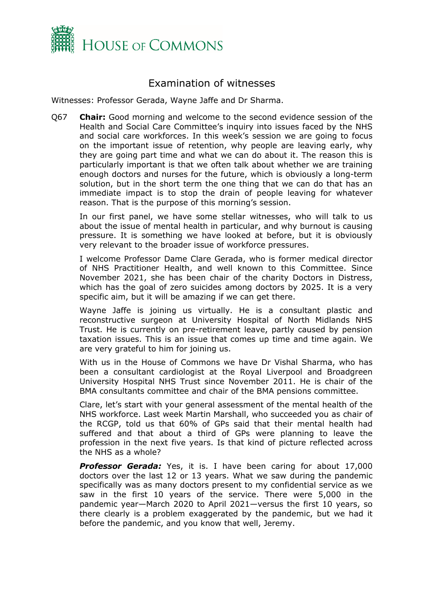

## <span id="page-1-0"></span>Examination of witnesses

Witnesses: Professor Gerada, Wayne Jaffe and Dr Sharma.

Q67 **Chair:** Good morning and welcome to the second evidence session of the Health and Social Care Committee's inquiry into issues faced by the NHS and social care workforces. In this week's session we are going to focus on the important issue of retention, why people are leaving early, why they are going part time and what we can do about it. The reason this is particularly important is that we often talk about whether we are training enough doctors and nurses for the future, which is obviously a long-term solution, but in the short term the one thing that we can do that has an immediate impact is to stop the drain of people leaving for whatever reason. That is the purpose of this morning's session.

In our first panel, we have some stellar witnesses, who will talk to us about the issue of mental health in particular, and why burnout is causing pressure. It is something we have looked at before, but it is obviously very relevant to the broader issue of workforce pressures.

I welcome Professor Dame Clare Gerada, who is former medical director of NHS Practitioner Health, and well known to this Committee. Since November 2021, she has been chair of the charity Doctors in Distress, which has the goal of zero suicides among doctors by 2025. It is a very specific aim, but it will be amazing if we can get there.

Wayne Jaffe is joining us virtually. He is a consultant plastic and reconstructive surgeon at University Hospital of North Midlands NHS Trust. He is currently on pre-retirement leave, partly caused by pension taxation issues. This is an issue that comes up time and time again. We are very grateful to him for joining us.

With us in the House of Commons we have Dr Vishal Sharma, who has been a consultant cardiologist at the Royal Liverpool and Broadgreen University Hospital NHS Trust since November 2011. He is chair of the BMA consultants committee and chair of the BMA pensions committee.

Clare, let's start with your general assessment of the mental health of the NHS workforce. Last week Martin Marshall, who succeeded you as chair of the RCGP, told us that 60% of GPs said that their mental health had suffered and that about a third of GPs were planning to leave the profession in the next five years. Is that kind of picture reflected across the NHS as a whole?

**Professor Gerada:** Yes, it is. I have been caring for about 17,000 doctors over the last 12 or 13 years. What we saw during the pandemic specifically was as many doctors present to my confidential service as we saw in the first 10 years of the service. There were 5,000 in the pandemic year—March 2020 to April 2021—versus the first 10 years, so there clearly is a problem exaggerated by the pandemic, but we had it before the pandemic, and you know that well, Jeremy.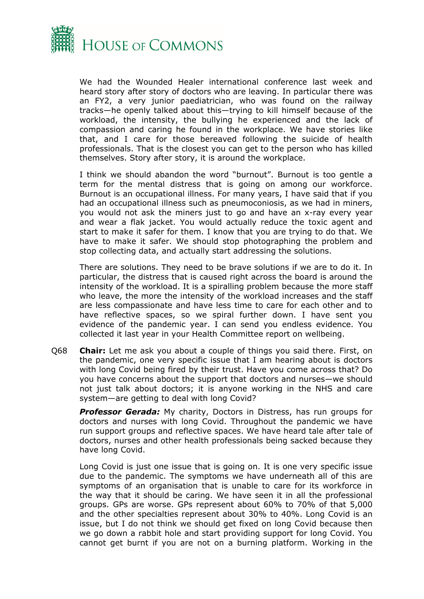

We had the Wounded Healer international conference last week and heard story after story of doctors who are leaving. In particular there was an FY2, a very junior paediatrician, who was found on the railway tracks—he openly talked about this—trying to kill himself because of the workload, the intensity, the bullying he experienced and the lack of compassion and caring he found in the workplace. We have stories like that, and I care for those bereaved following the suicide of health professionals. That is the closest you can get to the person who has killed themselves. Story after story, it is around the workplace.

I think we should abandon the word "burnout". Burnout is too gentle a term for the mental distress that is going on among our workforce. Burnout is an occupational illness. For many years, I have said that if you had an occupational illness such as pneumoconiosis, as we had in miners, you would not ask the miners just to go and have an x-ray every year and wear a flak jacket. You would actually reduce the toxic agent and start to make it safer for them. I know that you are trying to do that. We have to make it safer. We should stop photographing the problem and stop collecting data, and actually start addressing the solutions.

There are solutions. They need to be brave solutions if we are to do it. In particular, the distress that is caused right across the board is around the intensity of the workload. It is a spiralling problem because the more staff who leave, the more the intensity of the workload increases and the staff are less compassionate and have less time to care for each other and to have reflective spaces, so we spiral further down. I have sent you evidence of the pandemic year. I can send you endless evidence. You collected it last year in your Health Committee report on wellbeing.

Q68 **Chair:** Let me ask you about a couple of things you said there. First, on the pandemic, one very specific issue that I am hearing about is doctors with long Covid being fired by their trust. Have you come across that? Do you have concerns about the support that doctors and nurses—we should not just talk about doctors; it is anyone working in the NHS and care system—are getting to deal with long Covid?

*Professor Gerada:* My charity, Doctors in Distress, has run groups for doctors and nurses with long Covid. Throughout the pandemic we have run support groups and reflective spaces. We have heard tale after tale of doctors, nurses and other health professionals being sacked because they have long Covid.

Long Covid is just one issue that is going on. It is one very specific issue due to the pandemic. The symptoms we have underneath all of this are symptoms of an organisation that is unable to care for its workforce in the way that it should be caring. We have seen it in all the professional groups. GPs are worse. GPs represent about 60% to 70% of that 5,000 and the other specialties represent about 30% to 40%. Long Covid is an issue, but I do not think we should get fixed on long Covid because then we go down a rabbit hole and start providing support for long Covid. You cannot get burnt if you are not on a burning platform. Working in the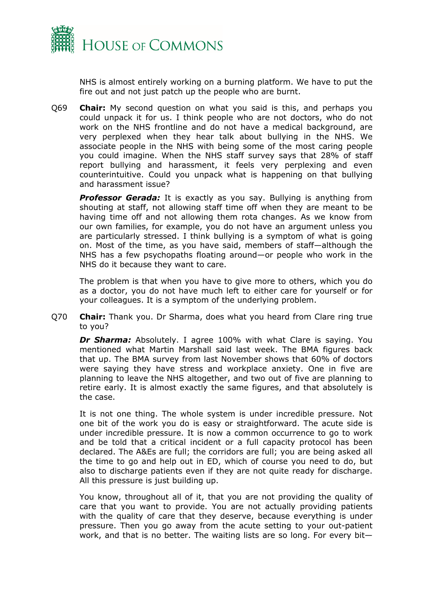

NHS is almost entirely working on a burning platform. We have to put the fire out and not just patch up the people who are burnt.

Q69 **Chair:** My second question on what you said is this, and perhaps you could unpack it for us. I think people who are not doctors, who do not work on the NHS frontline and do not have a medical background, are very perplexed when they hear talk about bullying in the NHS. We associate people in the NHS with being some of the most caring people you could imagine. When the NHS staff survey says that 28% of staff report bullying and harassment, it feels very perplexing and even counterintuitive. Could you unpack what is happening on that bullying and harassment issue?

**Professor Gerada:** It is exactly as you say. Bullying is anything from shouting at staff, not allowing staff time off when they are meant to be having time off and not allowing them rota changes. As we know from our own families, for example, you do not have an argument unless you are particularly stressed. I think bullying is a symptom of what is going on. Most of the time, as you have said, members of staff—although the NHS has a few psychopaths floating around—or people who work in the NHS do it because they want to care.

The problem is that when you have to give more to others, which you do as a doctor, you do not have much left to either care for yourself or for your colleagues. It is a symptom of the underlying problem.

Q70 **Chair:** Thank you. Dr Sharma, does what you heard from Clare ring true to you?

*Dr Sharma:* Absolutely. I agree 100% with what Clare is saying. You mentioned what Martin Marshall said last week. The BMA figures back that up. The BMA survey from last November shows that 60% of doctors were saying they have stress and workplace anxiety. One in five are planning to leave the NHS altogether, and two out of five are planning to retire early. It is almost exactly the same figures, and that absolutely is the case.

It is not one thing. The whole system is under incredible pressure. Not one bit of the work you do is easy or straightforward. The acute side is under incredible pressure. It is now a common occurrence to go to work and be told that a critical incident or a full capacity protocol has been declared. The A&Es are full; the corridors are full; you are being asked all the time to go and help out in ED, which of course you need to do, but also to discharge patients even if they are not quite ready for discharge. All this pressure is just building up.

You know, throughout all of it, that you are not providing the quality of care that you want to provide. You are not actually providing patients with the quality of care that they deserve, because everything is under pressure. Then you go away from the acute setting to your out-patient work, and that is no better. The waiting lists are so long. For every bit—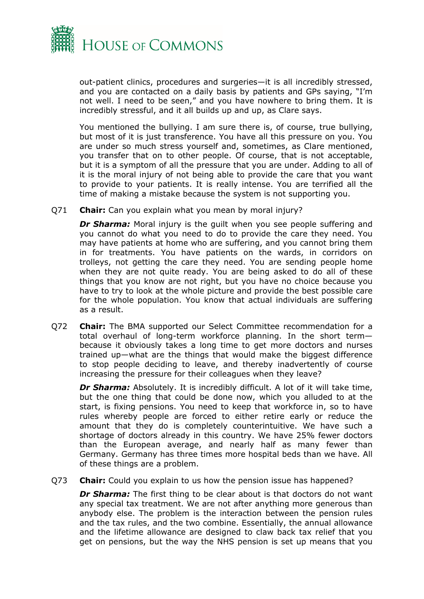

out-patient clinics, procedures and surgeries—it is all incredibly stressed, and you are contacted on a daily basis by patients and GPs saying, "I'm not well. I need to be seen," and you have nowhere to bring them. It is incredibly stressful, and it all builds up and up, as Clare says.

You mentioned the bullying. I am sure there is, of course, true bullying, but most of it is just transference. You have all this pressure on you. You are under so much stress yourself and, sometimes, as Clare mentioned, you transfer that on to other people. Of course, that is not acceptable, but it is a symptom of all the pressure that you are under. Adding to all of it is the moral injury of not being able to provide the care that you want to provide to your patients. It is really intense. You are terrified all the time of making a mistake because the system is not supporting you.

Q71 **Chair:** Can you explain what you mean by moral injury?

**Dr Sharma:** Moral injury is the quilt when you see people suffering and you cannot do what you need to do to provide the care they need. You may have patients at home who are suffering, and you cannot bring them in for treatments. You have patients on the wards, in corridors on trolleys, not getting the care they need. You are sending people home when they are not quite ready. You are being asked to do all of these things that you know are not right, but you have no choice because you have to try to look at the whole picture and provide the best possible care for the whole population. You know that actual individuals are suffering as a result.

Q72 **Chair:** The BMA supported our Select Committee recommendation for a total overhaul of long-term workforce planning. In the short term because it obviously takes a long time to get more doctors and nurses trained up—what are the things that would make the biggest difference to stop people deciding to leave, and thereby inadvertently of course increasing the pressure for their colleagues when they leave?

*Dr Sharma:* Absolutely. It is incredibly difficult. A lot of it will take time, but the one thing that could be done now, which you alluded to at the start, is fixing pensions. You need to keep that workforce in, so to have rules whereby people are forced to either retire early or reduce the amount that they do is completely counterintuitive. We have such a shortage of doctors already in this country. We have 25% fewer doctors than the European average, and nearly half as many fewer than Germany. Germany has three times more hospital beds than we have. All of these things are a problem.

Q73 **Chair:** Could you explain to us how the pension issue has happened?

*Dr Sharma:* The first thing to be clear about is that doctors do not want any special tax treatment. We are not after anything more generous than anybody else. The problem is the interaction between the pension rules and the tax rules, and the two combine. Essentially, the annual allowance and the lifetime allowance are designed to claw back tax relief that you get on pensions, but the way the NHS pension is set up means that you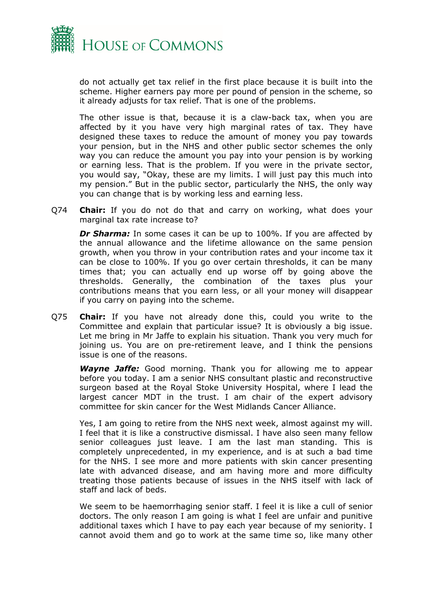

do not actually get tax relief in the first place because it is built into the scheme. Higher earners pay more per pound of pension in the scheme, so it already adjusts for tax relief. That is one of the problems.

The other issue is that, because it is a claw-back tax, when you are affected by it you have very high marginal rates of tax. They have designed these taxes to reduce the amount of money you pay towards your pension, but in the NHS and other public sector schemes the only way you can reduce the amount you pay into your pension is by working or earning less. That is the problem. If you were in the private sector, you would say, "Okay, these are my limits. I will just pay this much into my pension." But in the public sector, particularly the NHS, the only way you can change that is by working less and earning less.

Q74 **Chair:** If you do not do that and carry on working, what does your marginal tax rate increase to?

*Dr Sharma:* In some cases it can be up to 100%. If you are affected by the annual allowance and the lifetime allowance on the same pension growth, when you throw in your contribution rates and your income tax it can be close to 100%. If you go over certain thresholds, it can be many times that; you can actually end up worse off by going above the thresholds. Generally, the combination of the taxes plus your contributions means that you earn less, or all your money will disappear if you carry on paying into the scheme.

Q75 **Chair:** If you have not already done this, could you write to the Committee and explain that particular issue? It is obviously a big issue. Let me bring in Mr Jaffe to explain his situation. Thank you very much for joining us. You are on pre-retirement leave, and I think the pensions issue is one of the reasons.

*Wayne Jaffe:* Good morning. Thank you for allowing me to appear before you today. I am a senior NHS consultant plastic and reconstructive surgeon based at the Royal Stoke University Hospital, where I lead the largest cancer MDT in the trust. I am chair of the expert advisory committee for skin cancer for the West Midlands Cancer Alliance.

Yes, I am going to retire from the NHS next week, almost against my will. I feel that it is like a constructive dismissal. I have also seen many fellow senior colleagues just leave. I am the last man standing. This is completely unprecedented, in my experience, and is at such a bad time for the NHS. I see more and more patients with skin cancer presenting late with advanced disease, and am having more and more difficulty treating those patients because of issues in the NHS itself with lack of staff and lack of beds.

We seem to be haemorrhaging senior staff. I feel it is like a cull of senior doctors. The only reason I am going is what I feel are unfair and punitive additional taxes which I have to pay each year because of my seniority. I cannot avoid them and go to work at the same time so, like many other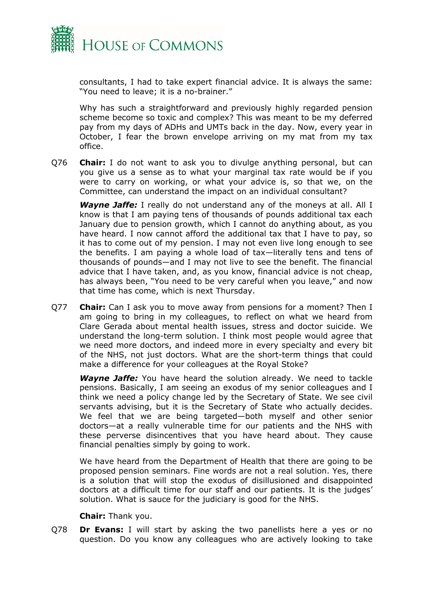

consultants, I had to take expert financial advice. It is always the same: "You need to leave; it is a no-brainer."

Why has such a straightforward and previously highly regarded pension scheme become so toxic and complex? This was meant to be my deferred pay from my days of ADHs and UMTs back in the day. Now, every year in October, I fear the brown envelope arriving on my mat from my tax office.

Q76 **Chair:** I do not want to ask you to divulge anything personal, but can you give us a sense as to what your marginal tax rate would be if you were to carry on working, or what your advice is, so that we, on the Committee, can understand the impact on an individual consultant?

*Wayne Jaffe:* I really do not understand any of the moneys at all. All I know is that I am paying tens of thousands of pounds additional tax each January due to pension growth, which I cannot do anything about, as you have heard. I now cannot afford the additional tax that I have to pay, so it has to come out of my pension. I may not even live long enough to see the benefits. I am paying a whole load of tax—literally tens and tens of thousands of pounds—and I may not live to see the benefit. The financial advice that I have taken, and, as you know, financial advice is not cheap, has always been, "You need to be very careful when you leave," and now that time has come, which is next Thursday.

Q77 **Chair:** Can I ask you to move away from pensions for a moment? Then I am going to bring in my colleagues, to reflect on what we heard from Clare Gerada about mental health issues, stress and doctor suicide. We understand the long-term solution. I think most people would agree that we need more doctors, and indeed more in every specialty and every bit of the NHS, not just doctors. What are the short-term things that could make a difference for your colleagues at the Royal Stoke?

*Wayne Jaffe:* You have heard the solution already. We need to tackle pensions. Basically, I am seeing an exodus of my senior colleagues and I think we need a policy change led by the Secretary of State. We see civil servants advising, but it is the Secretary of State who actually decides. We feel that we are being targeted—both myself and other senior doctors—at a really vulnerable time for our patients and the NHS with these perverse disincentives that you have heard about. They cause financial penalties simply by going to work.

We have heard from the Department of Health that there are going to be proposed pension seminars. Fine words are not a real solution. Yes, there is a solution that will stop the exodus of disillusioned and disappointed doctors at a difficult time for our staff and our patients. It is the judges' solution. What is sauce for the judiciary is good for the NHS.

**Chair:** Thank you.

Q78 **Dr Evans:** I will start by asking the two panellists here a yes or no question. Do you know any colleagues who are actively looking to take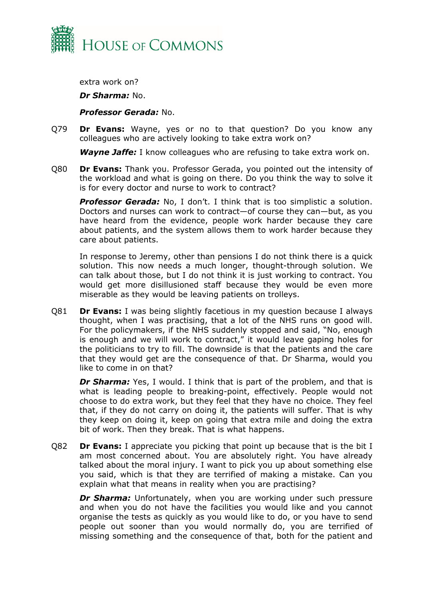

extra work on?

*Dr Sharma:* No.

*Professor Gerada:* No.

Q79 **Dr Evans:** Wayne, yes or no to that question? Do you know any colleagues who are actively looking to take extra work on?

*Wayne Jaffe:* I know colleagues who are refusing to take extra work on.

Q80 **Dr Evans:** Thank you. Professor Gerada, you pointed out the intensity of the workload and what is going on there. Do you think the way to solve it is for every doctor and nurse to work to contract?

*Professor Gerada:* No, I don't. I think that is too simplistic a solution. Doctors and nurses can work to contract—of course they can—but, as you have heard from the evidence, people work harder because they care about patients, and the system allows them to work harder because they care about patients.

In response to Jeremy, other than pensions I do not think there is a quick solution. This now needs a much longer, thought-through solution. We can talk about those, but I do not think it is just working to contract. You would get more disillusioned staff because they would be even more miserable as they would be leaving patients on trolleys.

Q81 **Dr Evans:** I was being slightly facetious in my question because I always thought, when I was practising, that a lot of the NHS runs on good will. For the policymakers, if the NHS suddenly stopped and said, "No, enough is enough and we will work to contract," it would leave gaping holes for the politicians to try to fill. The downside is that the patients and the care that they would get are the consequence of that. Dr Sharma, would you like to come in on that?

**Dr Sharma:** Yes, I would. I think that is part of the problem, and that is what is leading people to breaking-point, effectively. People would not choose to do extra work, but they feel that they have no choice. They feel that, if they do not carry on doing it, the patients will suffer. That is why they keep on doing it, keep on going that extra mile and doing the extra bit of work. Then they break. That is what happens.

Q82 **Dr Evans:** I appreciate you picking that point up because that is the bit I am most concerned about. You are absolutely right. You have already talked about the moral injury. I want to pick you up about something else you said, which is that they are terrified of making a mistake. Can you explain what that means in reality when you are practising?

**Dr Sharma:** Unfortunately, when you are working under such pressure and when you do not have the facilities you would like and you cannot organise the tests as quickly as you would like to do, or you have to send people out sooner than you would normally do, you are terrified of missing something and the consequence of that, both for the patient and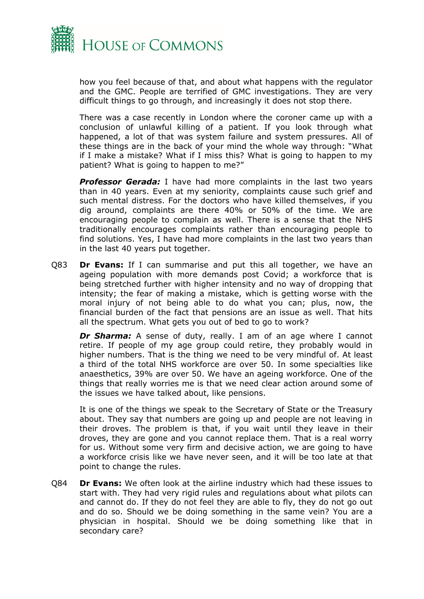

how you feel because of that, and about what happens with the regulator and the GMC. People are terrified of GMC investigations. They are very difficult things to go through, and increasingly it does not stop there.

There was a case recently in London where the coroner came up with a conclusion of unlawful killing of a patient. If you look through what happened, a lot of that was system failure and system pressures. All of these things are in the back of your mind the whole way through: "What if I make a mistake? What if I miss this? What is going to happen to my patient? What is going to happen to me?"

*Professor Gerada:* I have had more complaints in the last two years than in 40 years. Even at my seniority, complaints cause such grief and such mental distress. For the doctors who have killed themselves, if you dig around, complaints are there 40% or 50% of the time. We are encouraging people to complain as well. There is a sense that the NHS traditionally encourages complaints rather than encouraging people to find solutions. Yes, I have had more complaints in the last two years than in the last 40 years put together.

Q83 **Dr Evans:** If I can summarise and put this all together, we have an ageing population with more demands post Covid; a workforce that is being stretched further with higher intensity and no way of dropping that intensity; the fear of making a mistake, which is getting worse with the moral injury of not being able to do what you can; plus, now, the financial burden of the fact that pensions are an issue as well. That hits all the spectrum. What gets you out of bed to go to work?

**Dr Sharma:** A sense of duty, really. I am of an age where I cannot retire. If people of my age group could retire, they probably would in higher numbers. That is the thing we need to be very mindful of. At least a third of the total NHS workforce are over 50. In some specialties like anaesthetics, 39% are over 50. We have an ageing workforce. One of the things that really worries me is that we need clear action around some of the issues we have talked about, like pensions.

It is one of the things we speak to the Secretary of State or the Treasury about. They say that numbers are going up and people are not leaving in their droves. The problem is that, if you wait until they leave in their droves, they are gone and you cannot replace them. That is a real worry for us. Without some very firm and decisive action, we are going to have a workforce crisis like we have never seen, and it will be too late at that point to change the rules.

Q84 **Dr Evans:** We often look at the airline industry which had these issues to start with. They had very rigid rules and regulations about what pilots can and cannot do. If they do not feel they are able to fly, they do not go out and do so. Should we be doing something in the same vein? You are a physician in hospital. Should we be doing something like that in secondary care?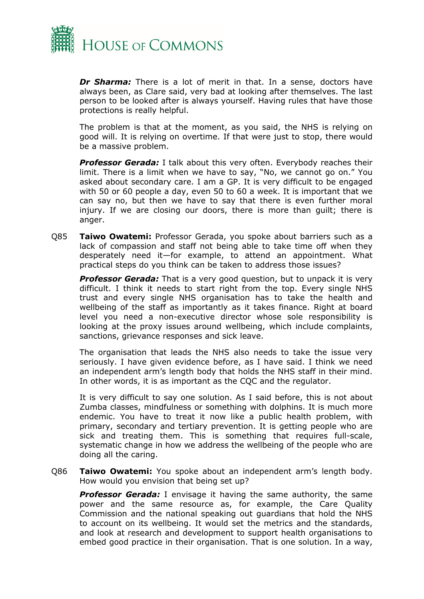

*Dr Sharma:* There is a lot of merit in that. In a sense, doctors have always been, as Clare said, very bad at looking after themselves. The last person to be looked after is always yourself. Having rules that have those protections is really helpful.

The problem is that at the moment, as you said, the NHS is relying on good will. It is relying on overtime. If that were just to stop, there would be a massive problem.

*Professor Gerada:* I talk about this very often. Everybody reaches their limit. There is a limit when we have to say, "No, we cannot go on." You asked about secondary care. I am a GP. It is very difficult to be engaged with 50 or 60 people a day, even 50 to 60 a week. It is important that we can say no, but then we have to say that there is even further moral injury. If we are closing our doors, there is more than guilt; there is anger.

Q85 **Taiwo Owatemi:** Professor Gerada, you spoke about barriers such as a lack of compassion and staff not being able to take time off when they desperately need it—for example, to attend an appointment. What practical steps do you think can be taken to address those issues?

**Professor Gerada:** That is a very good question, but to unpack it is very difficult. I think it needs to start right from the top. Every single NHS trust and every single NHS organisation has to take the health and wellbeing of the staff as importantly as it takes finance. Right at board level you need a non-executive director whose sole responsibility is looking at the proxy issues around wellbeing, which include complaints, sanctions, grievance responses and sick leave.

The organisation that leads the NHS also needs to take the issue very seriously. I have given evidence before, as I have said. I think we need an independent arm's length body that holds the NHS staff in their mind. In other words, it is as important as the CQC and the regulator.

It is very difficult to say one solution. As I said before, this is not about Zumba classes, mindfulness or something with dolphins. It is much more endemic. You have to treat it now like a public health problem, with primary, secondary and tertiary prevention. It is getting people who are sick and treating them. This is something that requires full-scale, systematic change in how we address the wellbeing of the people who are doing all the caring.

Q86 **Taiwo Owatemi:** You spoke about an independent arm's length body. How would you envision that being set up?

*Professor Gerada:* I envisage it having the same authority, the same power and the same resource as, for example, the Care Quality Commission and the national speaking out guardians that hold the NHS to account on its wellbeing. It would set the metrics and the standards, and look at research and development to support health organisations to embed good practice in their organisation. That is one solution. In a way,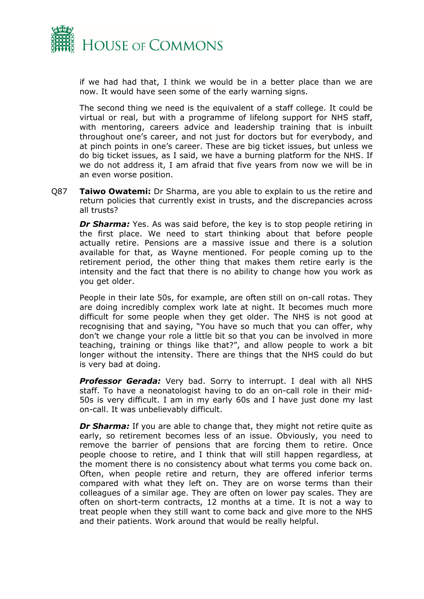

if we had had that, I think we would be in a better place than we are now. It would have seen some of the early warning signs.

The second thing we need is the equivalent of a staff college. It could be virtual or real, but with a programme of lifelong support for NHS staff, with mentoring, careers advice and leadership training that is inbuilt throughout one's career, and not just for doctors but for everybody, and at pinch points in one's career. These are big ticket issues, but unless we do big ticket issues, as I said, we have a burning platform for the NHS. If we do not address it, I am afraid that five years from now we will be in an even worse position.

Q87 **Taiwo Owatemi:** Dr Sharma, are you able to explain to us the retire and return policies that currently exist in trusts, and the discrepancies across all trusts?

**Dr Sharma:** Yes. As was said before, the key is to stop people retiring in the first place. We need to start thinking about that before people actually retire. Pensions are a massive issue and there is a solution available for that, as Wayne mentioned. For people coming up to the retirement period, the other thing that makes them retire early is the intensity and the fact that there is no ability to change how you work as you get older.

People in their late 50s, for example, are often still on on-call rotas. They are doing incredibly complex work late at night. It becomes much more difficult for some people when they get older. The NHS is not good at recognising that and saying, "You have so much that you can offer, why don't we change your role a little bit so that you can be involved in more teaching, training or things like that?", and allow people to work a bit longer without the intensity. There are things that the NHS could do but is very bad at doing.

**Professor Gerada:** Very bad. Sorry to interrupt. I deal with all NHS staff. To have a neonatologist having to do an on-call role in their mid-50s is very difficult. I am in my early 60s and I have just done my last on-call. It was unbelievably difficult.

**Dr Sharma:** If you are able to change that, they might not retire quite as early, so retirement becomes less of an issue. Obviously, you need to remove the barrier of pensions that are forcing them to retire. Once people choose to retire, and I think that will still happen regardless, at the moment there is no consistency about what terms you come back on. Often, when people retire and return, they are offered inferior terms compared with what they left on. They are on worse terms than their colleagues of a similar age. They are often on lower pay scales. They are often on short-term contracts, 12 months at a time. It is not a way to treat people when they still want to come back and give more to the NHS and their patients. Work around that would be really helpful.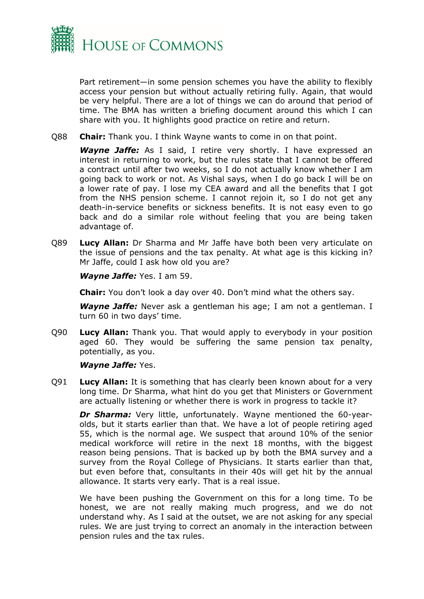

Part retirement—in some pension schemes you have the ability to flexibly access your pension but without actually retiring fully. Again, that would be very helpful. There are a lot of things we can do around that period of time. The BMA has written a briefing document around this which I can share with you. It highlights good practice on retire and return.

Q88 **Chair:** Thank you. I think Wayne wants to come in on that point.

*Wayne Jaffe:* As I said, I retire very shortly. I have expressed an interest in returning to work, but the rules state that I cannot be offered a contract until after two weeks, so I do not actually know whether I am going back to work or not. As Vishal says, when I do go back I will be on a lower rate of pay. I lose my CEA award and all the benefits that I got from the NHS pension scheme. I cannot rejoin it, so I do not get any death-in-service benefits or sickness benefits. It is not easy even to go back and do a similar role without feeling that you are being taken advantage of.

Q89 **Lucy Allan:** Dr Sharma and Mr Jaffe have both been very articulate on the issue of pensions and the tax penalty. At what age is this kicking in? Mr Jaffe, could I ask how old you are?

*Wayne Jaffe:* Yes. I am 59.

**Chair:** You don't look a day over 40. Don't mind what the others say.

*Wayne Jaffe:* Never ask a gentleman his age; I am not a gentleman. I turn 60 in two days' time.

Q90 **Lucy Allan:** Thank you. That would apply to everybody in your position aged 60. They would be suffering the same pension tax penalty, potentially, as you.

#### *Wayne Jaffe:* Yes.

Q91 **Lucy Allan:** It is something that has clearly been known about for a very long time. Dr Sharma, what hint do you get that Ministers or Government are actually listening or whether there is work in progress to tackle it?

*Dr Sharma:* Very little, unfortunately. Wayne mentioned the 60-yearolds, but it starts earlier than that. We have a lot of people retiring aged 55, which is the normal age. We suspect that around 10% of the senior medical workforce will retire in the next 18 months, with the biggest reason being pensions. That is backed up by both the BMA survey and a survey from the Royal College of Physicians. It starts earlier than that, but even before that, consultants in their 40s will get hit by the annual allowance. It starts very early. That is a real issue.

We have been pushing the Government on this for a long time. To be honest, we are not really making much progress, and we do not understand why. As I said at the outset, we are not asking for any special rules. We are just trying to correct an anomaly in the interaction between pension rules and the tax rules.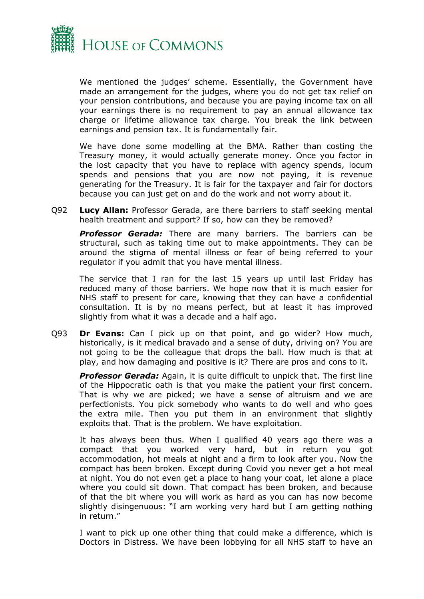

We mentioned the judges' scheme. Essentially, the Government have made an arrangement for the judges, where you do not get tax relief on your pension contributions, and because you are paying income tax on all your earnings there is no requirement to pay an annual allowance tax charge or lifetime allowance tax charge. You break the link between earnings and pension tax. It is fundamentally fair.

We have done some modelling at the BMA. Rather than costing the Treasury money, it would actually generate money. Once you factor in the lost capacity that you have to replace with agency spends, locum spends and pensions that you are now not paying, it is revenue generating for the Treasury. It is fair for the taxpayer and fair for doctors because you can just get on and do the work and not worry about it.

Q92 **Lucy Allan:** Professor Gerada, are there barriers to staff seeking mental health treatment and support? If so, how can they be removed?

*Professor Gerada:* There are many barriers. The barriers can be structural, such as taking time out to make appointments. They can be around the stigma of mental illness or fear of being referred to your regulator if you admit that you have mental illness.

The service that I ran for the last 15 years up until last Friday has reduced many of those barriers. We hope now that it is much easier for NHS staff to present for care, knowing that they can have a confidential consultation. It is by no means perfect, but at least it has improved slightly from what it was a decade and a half ago.

Q93 **Dr Evans:** Can I pick up on that point, and go wider? How much, historically, is it medical bravado and a sense of duty, driving on? You are not going to be the colleague that drops the ball. How much is that at play, and how damaging and positive is it? There are pros and cons to it.

**Professor Gerada:** Again, it is quite difficult to unpick that. The first line of the Hippocratic oath is that you make the patient your first concern. That is why we are picked; we have a sense of altruism and we are perfectionists. You pick somebody who wants to do well and who goes the extra mile. Then you put them in an environment that slightly exploits that. That is the problem. We have exploitation.

It has always been thus. When I qualified 40 years ago there was a compact that you worked very hard, but in return you got accommodation, hot meals at night and a firm to look after you. Now the compact has been broken. Except during Covid you never get a hot meal at night. You do not even get a place to hang your coat, let alone a place where you could sit down. That compact has been broken, and because of that the bit where you will work as hard as you can has now become slightly disingenuous: "I am working very hard but I am getting nothing in return."

I want to pick up one other thing that could make a difference, which is Doctors in Distress. We have been lobbying for all NHS staff to have an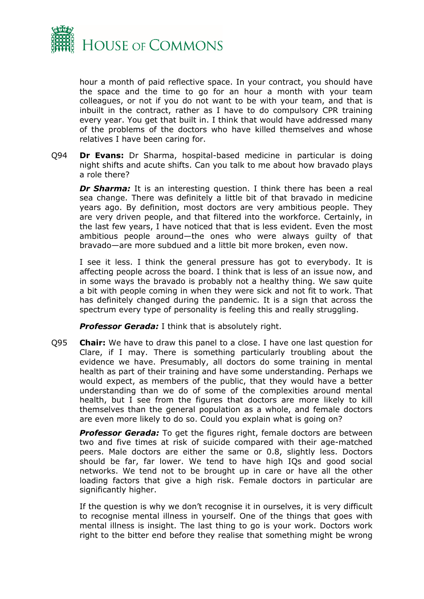

hour a month of paid reflective space. In your contract, you should have the space and the time to go for an hour a month with your team colleagues, or not if you do not want to be with your team, and that is inbuilt in the contract, rather as I have to do compulsory CPR training every year. You get that built in. I think that would have addressed many of the problems of the doctors who have killed themselves and whose relatives I have been caring for.

Q94 **Dr Evans:** Dr Sharma, hospital-based medicine in particular is doing night shifts and acute shifts. Can you talk to me about how bravado plays a role there?

*Dr Sharma:* It is an interesting question. I think there has been a real sea change. There was definitely a little bit of that bravado in medicine years ago. By definition, most doctors are very ambitious people. They are very driven people, and that filtered into the workforce. Certainly, in the last few years, I have noticed that that is less evident. Even the most ambitious people around—the ones who were always guilty of that bravado—are more subdued and a little bit more broken, even now.

I see it less. I think the general pressure has got to everybody. It is affecting people across the board. I think that is less of an issue now, and in some ways the bravado is probably not a healthy thing. We saw quite a bit with people coming in when they were sick and not fit to work. That has definitely changed during the pandemic. It is a sign that across the spectrum every type of personality is feeling this and really struggling.

*Professor Gerada:* I think that is absolutely right.

Q95 **Chair:** We have to draw this panel to a close. I have one last question for Clare, if I may. There is something particularly troubling about the evidence we have. Presumably, all doctors do some training in mental health as part of their training and have some understanding. Perhaps we would expect, as members of the public, that they would have a better understanding than we do of some of the complexities around mental health, but I see from the figures that doctors are more likely to kill themselves than the general population as a whole, and female doctors are even more likely to do so. Could you explain what is going on?

**Professor Gerada:** To get the figures right, female doctors are between two and five times at risk of suicide compared with their age-matched peers. Male doctors are either the same or 0.8, slightly less. Doctors should be far, far lower. We tend to have high IQs and good social networks. We tend not to be brought up in care or have all the other loading factors that give a high risk. Female doctors in particular are significantly higher.

If the question is why we don't recognise it in ourselves, it is very difficult to recognise mental illness in yourself. One of the things that goes with mental illness is insight. The last thing to go is your work. Doctors work right to the bitter end before they realise that something might be wrong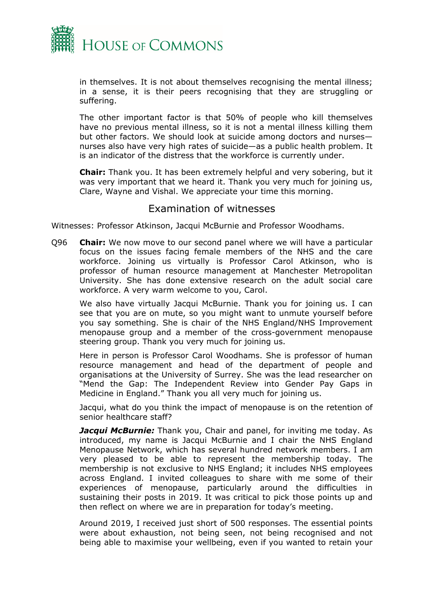

in themselves. It is not about themselves recognising the mental illness; in a sense, it is their peers recognising that they are struggling or suffering.

The other important factor is that 50% of people who kill themselves have no previous mental illness, so it is not a mental illness killing them but other factors. We should look at suicide among doctors and nurses nurses also have very high rates of suicide—as a public health problem. It is an indicator of the distress that the workforce is currently under.

**Chair:** Thank you. It has been extremely helpful and very sobering, but it was very important that we heard it. Thank you very much for joining us, Clare, Wayne and Vishal. We appreciate your time this morning.

## <span id="page-14-0"></span>Examination of witnesses

Witnesses: Professor Atkinson, Jacqui McBurnie and Professor Woodhams.

Q96 **Chair:** We now move to our second panel where we will have a particular focus on the issues facing female members of the NHS and the care workforce. Joining us virtually is Professor Carol Atkinson, who is professor of human resource management at Manchester Metropolitan University. She has done extensive research on the adult social care workforce. A very warm welcome to you, Carol.

We also have virtually Jacqui McBurnie. Thank you for joining us. I can see that you are on mute, so you might want to unmute yourself before you say something. She is chair of the NHS England/NHS Improvement menopause group and a member of the cross-government menopause steering group. Thank you very much for joining us.

Here in person is Professor Carol Woodhams. She is professor of human resource management and head of the department of people and organisations at the University of Surrey. She was the lead researcher on "Mend the Gap: The Independent Review into Gender Pay Gaps in Medicine in England." Thank you all very much for joining us.

Jacqui, what do you think the impact of menopause is on the retention of senior healthcare staff?

**Jacqui McBurnie:** Thank you, Chair and panel, for inviting me today. As introduced, my name is Jacqui McBurnie and I chair the NHS England Menopause Network, which has several hundred network members. I am very pleased to be able to represent the membership today. The membership is not exclusive to NHS England; it includes NHS employees across England. I invited colleagues to share with me some of their experiences of menopause, particularly around the difficulties in sustaining their posts in 2019. It was critical to pick those points up and then reflect on where we are in preparation for today's meeting.

Around 2019, I received just short of 500 responses. The essential points were about exhaustion, not being seen, not being recognised and not being able to maximise your wellbeing, even if you wanted to retain your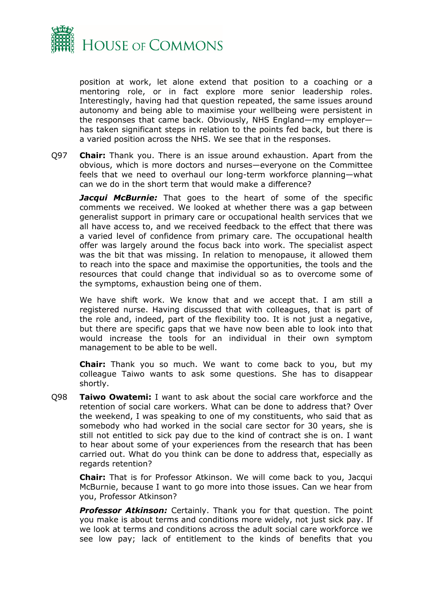

position at work, let alone extend that position to a coaching or a mentoring role, or in fact explore more senior leadership roles. Interestingly, having had that question repeated, the same issues around autonomy and being able to maximise your wellbeing were persistent in the responses that came back. Obviously, NHS England—my employer has taken significant steps in relation to the points fed back, but there is a varied position across the NHS. We see that in the responses.

Q97 **Chair:** Thank you. There is an issue around exhaustion. Apart from the obvious, which is more doctors and nurses—everyone on the Committee feels that we need to overhaul our long-term workforce planning—what can we do in the short term that would make a difference?

*Jacqui McBurnie:* That goes to the heart of some of the specific comments we received. We looked at whether there was a gap between generalist support in primary care or occupational health services that we all have access to, and we received feedback to the effect that there was a varied level of confidence from primary care. The occupational health offer was largely around the focus back into work. The specialist aspect was the bit that was missing. In relation to menopause, it allowed them to reach into the space and maximise the opportunities, the tools and the resources that could change that individual so as to overcome some of the symptoms, exhaustion being one of them.

We have shift work. We know that and we accept that. I am still a registered nurse. Having discussed that with colleagues, that is part of the role and, indeed, part of the flexibility too. It is not just a negative, but there are specific gaps that we have now been able to look into that would increase the tools for an individual in their own symptom management to be able to be well.

**Chair:** Thank you so much. We want to come back to you, but my colleague Taiwo wants to ask some questions. She has to disappear shortly.

Q98 **Taiwo Owatemi:** I want to ask about the social care workforce and the retention of social care workers. What can be done to address that? Over the weekend, I was speaking to one of my constituents, who said that as somebody who had worked in the social care sector for 30 years, she is still not entitled to sick pay due to the kind of contract she is on. I want to hear about some of your experiences from the research that has been carried out. What do you think can be done to address that, especially as regards retention?

**Chair:** That is for Professor Atkinson. We will come back to you, Jacqui McBurnie, because I want to go more into those issues. Can we hear from you, Professor Atkinson?

*Professor Atkinson:* Certainly. Thank you for that question. The point you make is about terms and conditions more widely, not just sick pay. If we look at terms and conditions across the adult social care workforce we see low pay; lack of entitlement to the kinds of benefits that you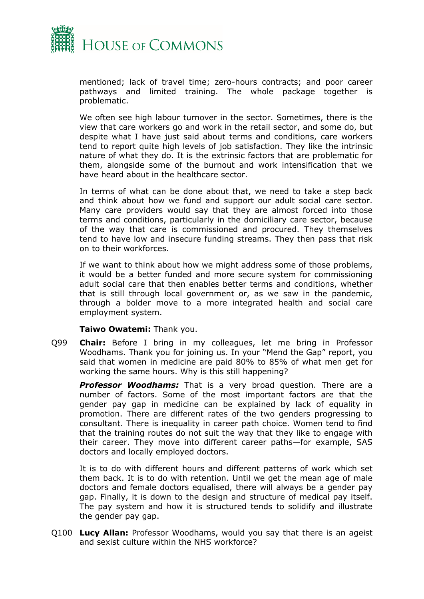

mentioned; lack of travel time; zero-hours contracts; and poor career pathways and limited training. The whole package together is problematic.

We often see high labour turnover in the sector. Sometimes, there is the view that care workers go and work in the retail sector, and some do, but despite what I have just said about terms and conditions, care workers tend to report quite high levels of job satisfaction. They like the intrinsic nature of what they do. It is the extrinsic factors that are problematic for them, alongside some of the burnout and work intensification that we have heard about in the healthcare sector.

In terms of what can be done about that, we need to take a step back and think about how we fund and support our adult social care sector. Many care providers would say that they are almost forced into those terms and conditions, particularly in the domiciliary care sector, because of the way that care is commissioned and procured. They themselves tend to have low and insecure funding streams. They then pass that risk on to their workforces.

If we want to think about how we might address some of those problems, it would be a better funded and more secure system for commissioning adult social care that then enables better terms and conditions, whether that is still through local government or, as we saw in the pandemic, through a bolder move to a more integrated health and social care employment system.

#### **Taiwo Owatemi:** Thank you.

Q99 **Chair:** Before I bring in my colleagues, let me bring in Professor Woodhams. Thank you for joining us. In your "Mend the Gap" report, you said that women in medicine are paid 80% to 85% of what men get for working the same hours. Why is this still happening?

*Professor Woodhams:* That is a very broad question. There are a number of factors. Some of the most important factors are that the gender pay gap in medicine can be explained by lack of equality in promotion. There are different rates of the two genders progressing to consultant. There is inequality in career path choice. Women tend to find that the training routes do not suit the way that they like to engage with their career. They move into different career paths—for example, SAS doctors and locally employed doctors.

It is to do with different hours and different patterns of work which set them back. It is to do with retention. Until we get the mean age of male doctors and female doctors equalised, there will always be a gender pay gap. Finally, it is down to the design and structure of medical pay itself. The pay system and how it is structured tends to solidify and illustrate the gender pay gap.

Q100 **Lucy Allan:** Professor Woodhams, would you say that there is an ageist and sexist culture within the NHS workforce?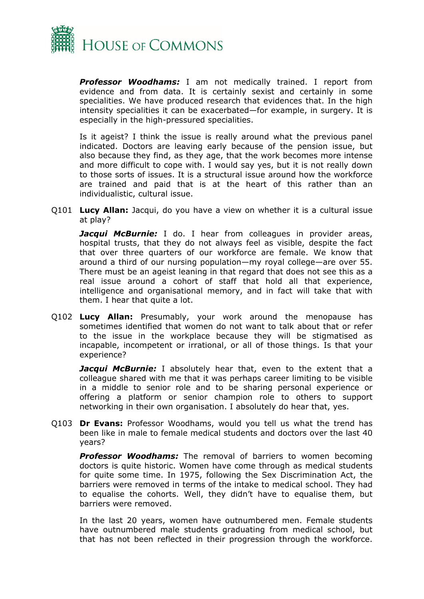

*Professor Woodhams:* I am not medically trained. I report from evidence and from data. It is certainly sexist and certainly in some specialities. We have produced research that evidences that. In the high intensity specialities it can be exacerbated—for example, in surgery. It is especially in the high-pressured specialities.

Is it ageist? I think the issue is really around what the previous panel indicated. Doctors are leaving early because of the pension issue, but also because they find, as they age, that the work becomes more intense and more difficult to cope with. I would say yes, but it is not really down to those sorts of issues. It is a structural issue around how the workforce are trained and paid that is at the heart of this rather than an individualistic, cultural issue.

Q101 **Lucy Allan:** Jacqui, do you have a view on whether it is a cultural issue at play?

*Jacqui McBurnie:* I do. I hear from colleagues in provider areas, hospital trusts, that they do not always feel as visible, despite the fact that over three quarters of our workforce are female. We know that around a third of our nursing population—my royal college—are over 55. There must be an ageist leaning in that regard that does not see this as a real issue around a cohort of staff that hold all that experience, intelligence and organisational memory, and in fact will take that with them. I hear that quite a lot.

Q102 **Lucy Allan:** Presumably, your work around the menopause has sometimes identified that women do not want to talk about that or refer to the issue in the workplace because they will be stigmatised as incapable, incompetent or irrational, or all of those things. Is that your experience?

**Jacqui McBurnie:** I absolutely hear that, even to the extent that a colleague shared with me that it was perhaps career limiting to be visible in a middle to senior role and to be sharing personal experience or offering a platform or senior champion role to others to support networking in their own organisation. I absolutely do hear that, yes.

Q103 **Dr Evans:** Professor Woodhams, would you tell us what the trend has been like in male to female medical students and doctors over the last 40 years?

*Professor Woodhams:* The removal of barriers to women becoming doctors is quite historic. Women have come through as medical students for quite some time. In 1975, following the Sex Discrimination Act, the barriers were removed in terms of the intake to medical school. They had to equalise the cohorts. Well, they didn't have to equalise them, but barriers were removed.

In the last 20 years, women have outnumbered men. Female students have outnumbered male students graduating from medical school, but that has not been reflected in their progression through the workforce.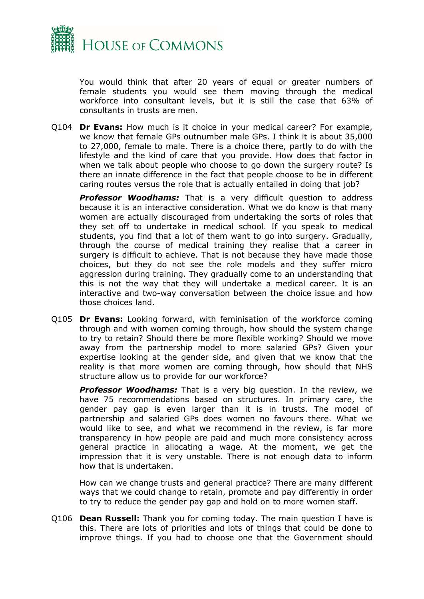

You would think that after 20 years of equal or greater numbers of female students you would see them moving through the medical workforce into consultant levels, but it is still the case that 63% of consultants in trusts are men.

Q104 **Dr Evans:** How much is it choice in your medical career? For example, we know that female GPs outnumber male GPs. I think it is about 35,000 to 27,000, female to male. There is a choice there, partly to do with the lifestyle and the kind of care that you provide. How does that factor in when we talk about people who choose to go down the surgery route? Is there an innate difference in the fact that people choose to be in different caring routes versus the role that is actually entailed in doing that job?

**Professor Woodhams:** That is a very difficult question to address because it is an interactive consideration. What we do know is that many women are actually discouraged from undertaking the sorts of roles that they set off to undertake in medical school. If you speak to medical students, you find that a lot of them want to go into surgery. Gradually, through the course of medical training they realise that a career in surgery is difficult to achieve. That is not because they have made those choices, but they do not see the role models and they suffer micro aggression during training. They gradually come to an understanding that this is not the way that they will undertake a medical career. It is an interactive and two-way conversation between the choice issue and how those choices land.

Q105 **Dr Evans:** Looking forward, with feminisation of the workforce coming through and with women coming through, how should the system change to try to retain? Should there be more flexible working? Should we move away from the partnership model to more salaried GPs? Given your expertise looking at the gender side, and given that we know that the reality is that more women are coming through, how should that NHS structure allow us to provide for our workforce?

**Professor Woodhams:** That is a very big question. In the review, we have 75 recommendations based on structures. In primary care, the gender pay gap is even larger than it is in trusts. The model of partnership and salaried GPs does women no favours there. What we would like to see, and what we recommend in the review, is far more transparency in how people are paid and much more consistency across general practice in allocating a wage. At the moment, we get the impression that it is very unstable. There is not enough data to inform how that is undertaken.

How can we change trusts and general practice? There are many different ways that we could change to retain, promote and pay differently in order to try to reduce the gender pay gap and hold on to more women staff.

Q106 **Dean Russell:** Thank you for coming today. The main question I have is this. There are lots of priorities and lots of things that could be done to improve things. If you had to choose one that the Government should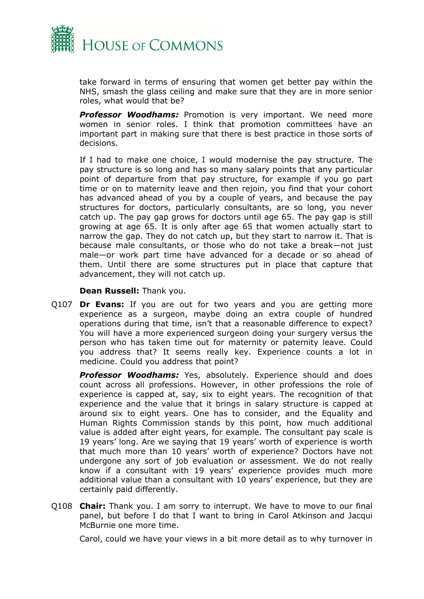

take forward in terms of ensuring that women get better pay within the NHS, smash the glass ceiling and make sure that they are in more senior roles, what would that be?

*Professor Woodhams:* Promotion is very important. We need more women in senior roles. I think that promotion committees have an important part in making sure that there is best practice in those sorts of decisions.

If I had to make one choice, I would modernise the pay structure. The pay structure is so long and has so many salary points that any particular point of departure from that pay structure, for example if you go part time or on to maternity leave and then rejoin, you find that your cohort has advanced ahead of you by a couple of years, and because the pay structures for doctors, particularly consultants, are so long, you never catch up. The pay gap grows for doctors until age 65. The pay gap is still growing at age 65. It is only after age 65 that women actually start to narrow the gap. They do not catch up, but they start to narrow it. That is because male consultants, or those who do not take a break—not just male—or work part time have advanced for a decade or so ahead of them. Until there are some structures put in place that capture that advancement, they will not catch up.

**Dean Russell:** Thank you.

Q107 **Dr Evans:** If you are out for two years and you are getting more experience as a surgeon, maybe doing an extra couple of hundred operations during that time, isn't that a reasonable difference to expect? You will have a more experienced surgeon doing your surgery versus the person who has taken time out for maternity or paternity leave. Could you address that? It seems really key. Experience counts a lot in medicine. Could you address that point?

*Professor Woodhams:* Yes, absolutely. Experience should and does count across all professions. However, in other professions the role of experience is capped at, say, six to eight years. The recognition of that experience and the value that it brings in salary structure is capped at around six to eight years. One has to consider, and the Equality and Human Rights Commission stands by this point, how much additional value is added after eight years, for example. The consultant pay scale is 19 years' long. Are we saying that 19 years' worth of experience is worth that much more than 10 years' worth of experience? Doctors have not undergone any sort of job evaluation or assessment. We do not really know if a consultant with 19 years' experience provides much more additional value than a consultant with 10 years' experience, but they are certainly paid differently.

Q108 **Chair:** Thank you. I am sorry to interrupt. We have to move to our final panel, but before I do that I want to bring in Carol Atkinson and Jacqui McBurnie one more time.

Carol, could we have your views in a bit more detail as to why turnover in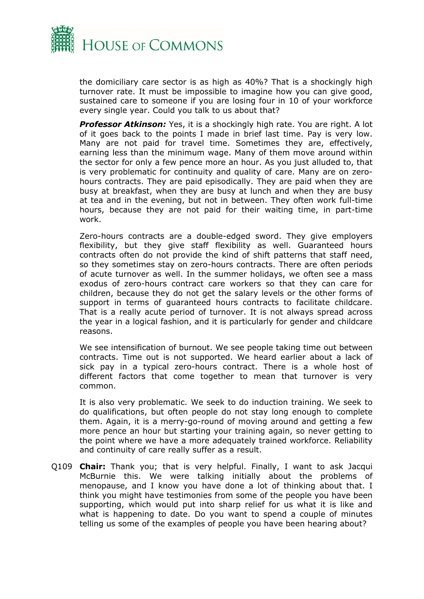

the domiciliary care sector is as high as 40%? That is a shockingly high turnover rate. It must be impossible to imagine how you can give good, sustained care to someone if you are losing four in 10 of your workforce every single year. Could you talk to us about that?

*Professor Atkinson:* Yes, it is a shockingly high rate. You are right. A lot of it goes back to the points I made in brief last time. Pay is very low. Many are not paid for travel time. Sometimes they are, effectively, earning less than the minimum wage. Many of them move around within the sector for only a few pence more an hour. As you just alluded to, that is very problematic for continuity and quality of care. Many are on zerohours contracts. They are paid episodically. They are paid when they are busy at breakfast, when they are busy at lunch and when they are busy at tea and in the evening, but not in between. They often work full-time hours, because they are not paid for their waiting time, in part-time work.

Zero-hours contracts are a double-edged sword. They give employers flexibility, but they give staff flexibility as well. Guaranteed hours contracts often do not provide the kind of shift patterns that staff need, so they sometimes stay on zero-hours contracts. There are often periods of acute turnover as well. In the summer holidays, we often see a mass exodus of zero-hours contract care workers so that they can care for children, because they do not get the salary levels or the other forms of support in terms of guaranteed hours contracts to facilitate childcare. That is a really acute period of turnover. It is not always spread across the year in a logical fashion, and it is particularly for gender and childcare reasons.

We see intensification of burnout. We see people taking time out between contracts. Time out is not supported. We heard earlier about a lack of sick pay in a typical zero-hours contract. There is a whole host of different factors that come together to mean that turnover is very common.

It is also very problematic. We seek to do induction training. We seek to do qualifications, but often people do not stay long enough to complete them. Again, it is a merry-go-round of moving around and getting a few more pence an hour but starting your training again, so never getting to the point where we have a more adequately trained workforce. Reliability and continuity of care really suffer as a result.

Q109 **Chair:** Thank you; that is very helpful. Finally, I want to ask Jacqui McBurnie this. We were talking initially about the problems of menopause, and I know you have done a lot of thinking about that. I think you might have testimonies from some of the people you have been supporting, which would put into sharp relief for us what it is like and what is happening to date. Do you want to spend a couple of minutes telling us some of the examples of people you have been hearing about?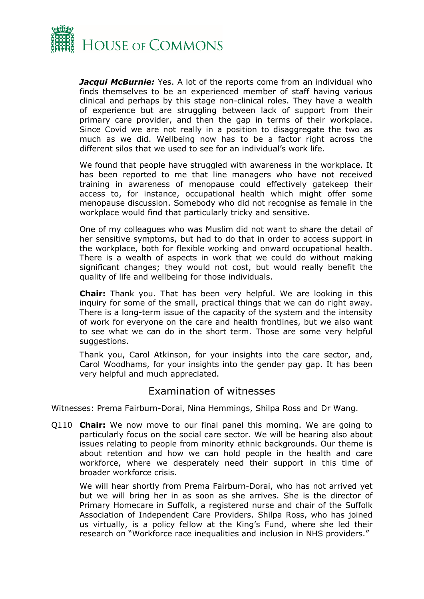

**Jacqui McBurnie:** Yes. A lot of the reports come from an individual who finds themselves to be an experienced member of staff having various clinical and perhaps by this stage non-clinical roles. They have a wealth of experience but are struggling between lack of support from their primary care provider, and then the gap in terms of their workplace. Since Covid we are not really in a position to disaggregate the two as much as we did. Wellbeing now has to be a factor right across the different silos that we used to see for an individual's work life.

We found that people have struggled with awareness in the workplace. It has been reported to me that line managers who have not received training in awareness of menopause could effectively gatekeep their access to, for instance, occupational health which might offer some menopause discussion. Somebody who did not recognise as female in the workplace would find that particularly tricky and sensitive.

One of my colleagues who was Muslim did not want to share the detail of her sensitive symptoms, but had to do that in order to access support in the workplace, both for flexible working and onward occupational health. There is a wealth of aspects in work that we could do without making significant changes; they would not cost, but would really benefit the quality of life and wellbeing for those individuals.

**Chair:** Thank you. That has been very helpful. We are looking in this inquiry for some of the small, practical things that we can do right away. There is a long-term issue of the capacity of the system and the intensity of work for everyone on the care and health frontlines, but we also want to see what we can do in the short term. Those are some very helpful suggestions.

Thank you, Carol Atkinson, for your insights into the care sector, and, Carol Woodhams, for your insights into the gender pay gap. It has been very helpful and much appreciated.

## Examination of witnesses

Witnesses: Prema Fairburn-Dorai, Nina Hemmings, Shilpa Ross and Dr Wang.

Q110 **Chair:** We now move to our final panel this morning. We are going to particularly focus on the social care sector. We will be hearing also about issues relating to people from minority ethnic backgrounds. Our theme is about retention and how we can hold people in the health and care workforce, where we desperately need their support in this time of broader workforce crisis.

We will hear shortly from Prema Fairburn-Dorai, who has not arrived yet but we will bring her in as soon as she arrives. She is the director of Primary Homecare in Suffolk, a registered nurse and chair of the Suffolk Association of Independent Care Providers. Shilpa Ross, who has joined us virtually, is a policy fellow at the King's Fund, where she led their research on "Workforce race inequalities and inclusion in NHS providers."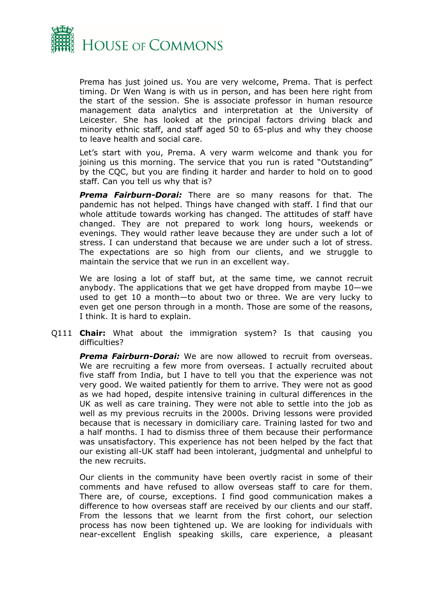

Prema has just joined us. You are very welcome, Prema. That is perfect timing. Dr Wen Wang is with us in person, and has been here right from the start of the session. She is associate professor in human resource management data analytics and interpretation at the University of Leicester. She has looked at the principal factors driving black and minority ethnic staff, and staff aged 50 to 65-plus and why they choose to leave health and social care.

Let's start with you, Prema. A very warm welcome and thank you for joining us this morning. The service that you run is rated "Outstanding" by the CQC, but you are finding it harder and harder to hold on to good staff. Can you tell us why that is?

*Prema Fairburn-Dorai:* There are so many reasons for that. The pandemic has not helped. Things have changed with staff. I find that our whole attitude towards working has changed. The attitudes of staff have changed. They are not prepared to work long hours, weekends or evenings. They would rather leave because they are under such a lot of stress. I can understand that because we are under such a lot of stress. The expectations are so high from our clients, and we struggle to maintain the service that we run in an excellent way.

We are losing a lot of staff but, at the same time, we cannot recruit anybody. The applications that we get have dropped from maybe 10—we used to get 10 a month—to about two or three. We are very lucky to even get one person through in a month. Those are some of the reasons, I think. It is hard to explain.

Q111 **Chair:** What about the immigration system? Is that causing you difficulties?

*Prema Fairburn-Dorai:* We are now allowed to recruit from overseas. We are recruiting a few more from overseas. I actually recruited about five staff from India, but I have to tell you that the experience was not very good. We waited patiently for them to arrive. They were not as good as we had hoped, despite intensive training in cultural differences in the UK as well as care training. They were not able to settle into the job as well as my previous recruits in the 2000s. Driving lessons were provided because that is necessary in domiciliary care. Training lasted for two and a half months. I had to dismiss three of them because their performance was unsatisfactory. This experience has not been helped by the fact that our existing all-UK staff had been intolerant, judgmental and unhelpful to the new recruits.

Our clients in the community have been overtly racist in some of their comments and have refused to allow overseas staff to care for them. There are, of course, exceptions. I find good communication makes a difference to how overseas staff are received by our clients and our staff. From the lessons that we learnt from the first cohort, our selection process has now been tightened up. We are looking for individuals with near-excellent English speaking skills, care experience, a pleasant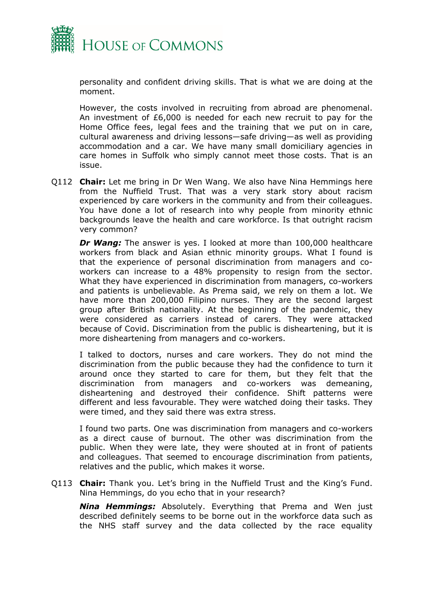

personality and confident driving skills. That is what we are doing at the moment.

However, the costs involved in recruiting from abroad are phenomenal. An investment of £6,000 is needed for each new recruit to pay for the Home Office fees, legal fees and the training that we put on in care, cultural awareness and driving lessons—safe driving—as well as providing accommodation and a car. We have many small domiciliary agencies in care homes in Suffolk who simply cannot meet those costs. That is an issue.

Q112 **Chair:** Let me bring in Dr Wen Wang. We also have Nina Hemmings here from the Nuffield Trust. That was a very stark story about racism experienced by care workers in the community and from their colleagues. You have done a lot of research into why people from minority ethnic backgrounds leave the health and care workforce. Is that outright racism very common?

*Dr Wang:* The answer is yes. I looked at more than 100,000 healthcare workers from black and Asian ethnic minority groups. What I found is that the experience of personal discrimination from managers and coworkers can increase to a 48% propensity to resign from the sector. What they have experienced in discrimination from managers, co-workers and patients is unbelievable. As Prema said, we rely on them a lot. We have more than 200,000 Filipino nurses. They are the second largest group after British nationality. At the beginning of the pandemic, they were considered as carriers instead of carers. They were attacked because of Covid. Discrimination from the public is disheartening, but it is more disheartening from managers and co-workers.

I talked to doctors, nurses and care workers. They do not mind the discrimination from the public because they had the confidence to turn it around once they started to care for them, but they felt that the discrimination from managers and co-workers was demeaning, disheartening and destroyed their confidence. Shift patterns were different and less favourable. They were watched doing their tasks. They were timed, and they said there was extra stress.

I found two parts. One was discrimination from managers and co-workers as a direct cause of burnout. The other was discrimination from the public. When they were late, they were shouted at in front of patients and colleagues. That seemed to encourage discrimination from patients, relatives and the public, which makes it worse.

Q113 **Chair:** Thank you. Let's bring in the Nuffield Trust and the King's Fund. Nina Hemmings, do you echo that in your research?

*Nina Hemmings:* Absolutely. Everything that Prema and Wen just described definitely seems to be borne out in the workforce data such as the NHS staff survey and the data collected by the race equality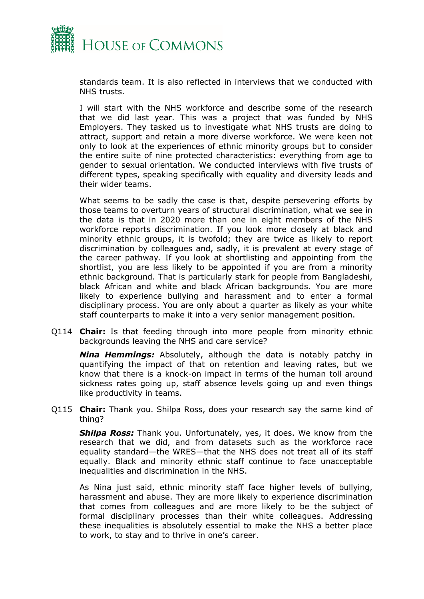

standards team. It is also reflected in interviews that we conducted with NHS trusts.

I will start with the NHS workforce and describe some of the research that we did last year. This was a project that was funded by NHS Employers. They tasked us to investigate what NHS trusts are doing to attract, support and retain a more diverse workforce. We were keen not only to look at the experiences of ethnic minority groups but to consider the entire suite of nine protected characteristics: everything from age to gender to sexual orientation. We conducted interviews with five trusts of different types, speaking specifically with equality and diversity leads and their wider teams.

What seems to be sadly the case is that, despite persevering efforts by those teams to overturn years of structural discrimination, what we see in the data is that in 2020 more than one in eight members of the NHS workforce reports discrimination. If you look more closely at black and minority ethnic groups, it is twofold; they are twice as likely to report discrimination by colleagues and, sadly, it is prevalent at every stage of the career pathway. If you look at shortlisting and appointing from the shortlist, you are less likely to be appointed if you are from a minority ethnic background. That is particularly stark for people from Bangladeshi, black African and white and black African backgrounds. You are more likely to experience bullying and harassment and to enter a formal disciplinary process. You are only about a quarter as likely as your white staff counterparts to make it into a very senior management position.

Q114 **Chair:** Is that feeding through into more people from minority ethnic backgrounds leaving the NHS and care service?

*Nina Hemmings:* Absolutely, although the data is notably patchy in quantifying the impact of that on retention and leaving rates, but we know that there is a knock-on impact in terms of the human toll around sickness rates going up, staff absence levels going up and even things like productivity in teams.

Q115 **Chair:** Thank you. Shilpa Ross, does your research say the same kind of thing?

*Shilpa Ross:* Thank you. Unfortunately, yes, it does. We know from the research that we did, and from datasets such as the workforce race equality standard—the WRES—that the NHS does not treat all of its staff equally. Black and minority ethnic staff continue to face unacceptable inequalities and discrimination in the NHS.

As Nina just said, ethnic minority staff face higher levels of bullying, harassment and abuse. They are more likely to experience discrimination that comes from colleagues and are more likely to be the subject of formal disciplinary processes than their white colleagues. Addressing these inequalities is absolutely essential to make the NHS a better place to work, to stay and to thrive in one's career.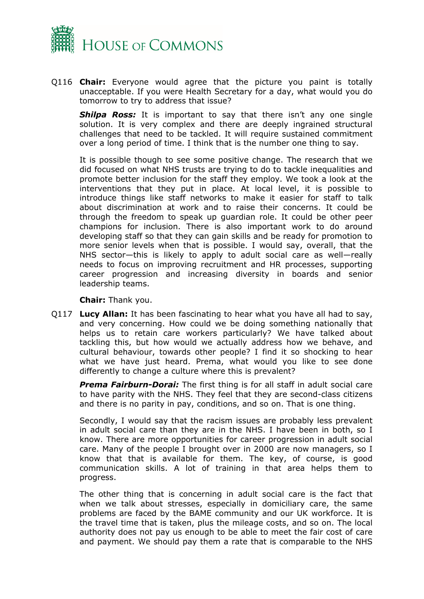

Q116 **Chair:** Everyone would agree that the picture you paint is totally unacceptable. If you were Health Secretary for a day, what would you do tomorrow to try to address that issue?

**Shilpa Ross:** It is important to say that there isn't any one single solution. It is very complex and there are deeply ingrained structural challenges that need to be tackled. It will require sustained commitment over a long period of time. I think that is the number one thing to say.

It is possible though to see some positive change. The research that we did focused on what NHS trusts are trying to do to tackle inequalities and promote better inclusion for the staff they employ. We took a look at the interventions that they put in place. At local level, it is possible to introduce things like staff networks to make it easier for staff to talk about discrimination at work and to raise their concerns. It could be through the freedom to speak up guardian role. It could be other peer champions for inclusion. There is also important work to do around developing staff so that they can gain skills and be ready for promotion to more senior levels when that is possible. I would say, overall, that the NHS sector—this is likely to apply to adult social care as well—really needs to focus on improving recruitment and HR processes, supporting career progression and increasing diversity in boards and senior leadership teams.

**Chair:** Thank you.

Q117 **Lucy Allan:** It has been fascinating to hear what you have all had to say, and very concerning. How could we be doing something nationally that helps us to retain care workers particularly? We have talked about tackling this, but how would we actually address how we behave, and cultural behaviour, towards other people? I find it so shocking to hear what we have just heard. Prema, what would you like to see done differently to change a culture where this is prevalent?

*Prema Fairburn-Dorai:* The first thing is for all staff in adult social care to have parity with the NHS. They feel that they are second-class citizens and there is no parity in pay, conditions, and so on. That is one thing.

Secondly, I would say that the racism issues are probably less prevalent in adult social care than they are in the NHS. I have been in both, so I know. There are more opportunities for career progression in adult social care. Many of the people I brought over in 2000 are now managers, so I know that that is available for them. The key, of course, is good communication skills. A lot of training in that area helps them to progress.

The other thing that is concerning in adult social care is the fact that when we talk about stresses, especially in domiciliary care, the same problems are faced by the BAME community and our UK workforce. It is the travel time that is taken, plus the mileage costs, and so on. The local authority does not pay us enough to be able to meet the fair cost of care and payment. We should pay them a rate that is comparable to the NHS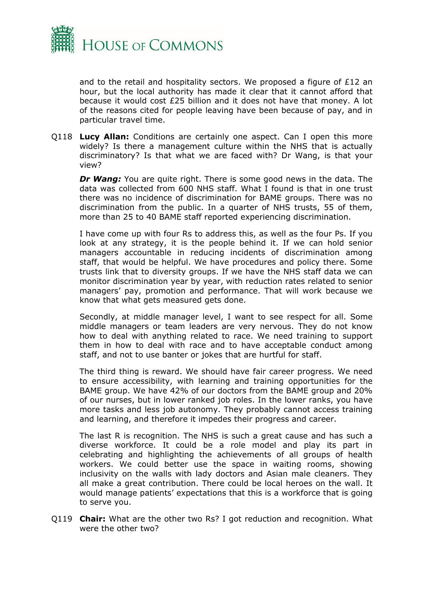

and to the retail and hospitality sectors. We proposed a figure of  $E12$  an hour, but the local authority has made it clear that it cannot afford that because it would cost £25 billion and it does not have that money. A lot of the reasons cited for people leaving have been because of pay, and in particular travel time.

Q118 **Lucy Allan:** Conditions are certainly one aspect. Can I open this more widely? Is there a management culture within the NHS that is actually discriminatory? Is that what we are faced with? Dr Wang, is that your view?

*Dr Wang:* You are quite right. There is some good news in the data. The data was collected from 600 NHS staff. What I found is that in one trust there was no incidence of discrimination for BAME groups. There was no discrimination from the public. In a quarter of NHS trusts, 55 of them, more than 25 to 40 BAME staff reported experiencing discrimination.

I have come up with four Rs to address this, as well as the four Ps. If you look at any strategy, it is the people behind it. If we can hold senior managers accountable in reducing incidents of discrimination among staff, that would be helpful. We have procedures and policy there. Some trusts link that to diversity groups. If we have the NHS staff data we can monitor discrimination year by year, with reduction rates related to senior managers' pay, promotion and performance. That will work because we know that what gets measured gets done.

Secondly, at middle manager level, I want to see respect for all. Some middle managers or team leaders are very nervous. They do not know how to deal with anything related to race. We need training to support them in how to deal with race and to have acceptable conduct among staff, and not to use banter or jokes that are hurtful for staff.

The third thing is reward. We should have fair career progress. We need to ensure accessibility, with learning and training opportunities for the BAME group. We have 42% of our doctors from the BAME group and 20% of our nurses, but in lower ranked job roles. In the lower ranks, you have more tasks and less job autonomy. They probably cannot access training and learning, and therefore it impedes their progress and career.

The last R is recognition. The NHS is such a great cause and has such a diverse workforce. It could be a role model and play its part in celebrating and highlighting the achievements of all groups of health workers. We could better use the space in waiting rooms, showing inclusivity on the walls with lady doctors and Asian male cleaners. They all make a great contribution. There could be local heroes on the wall. It would manage patients' expectations that this is a workforce that is going to serve you.

Q119 **Chair:** What are the other two Rs? I got reduction and recognition. What were the other two?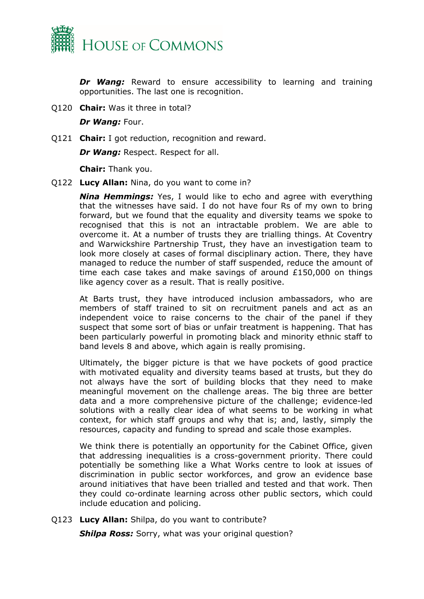

*Dr Wang:* Reward to ensure accessibility to learning and training opportunities. The last one is recognition.

Q120 **Chair:** Was it three in total?

*Dr Wang:* Four.

Q121 **Chair:** I got reduction, recognition and reward.

*Dr Wang:* Respect. Respect for all.

**Chair:** Thank you.

Q122 **Lucy Allan:** Nina, do you want to come in?

*Nina Hemmings:* Yes, I would like to echo and agree with everything that the witnesses have said. I do not have four Rs of my own to bring forward, but we found that the equality and diversity teams we spoke to recognised that this is not an intractable problem. We are able to overcome it. At a number of trusts they are trialling things. At Coventry and Warwickshire Partnership Trust, they have an investigation team to look more closely at cases of formal disciplinary action. There, they have managed to reduce the number of staff suspended, reduce the amount of time each case takes and make savings of around £150,000 on things like agency cover as a result. That is really positive.

At Barts trust, they have introduced inclusion ambassadors, who are members of staff trained to sit on recruitment panels and act as an independent voice to raise concerns to the chair of the panel if they suspect that some sort of bias or unfair treatment is happening. That has been particularly powerful in promoting black and minority ethnic staff to band levels 8 and above, which again is really promising.

Ultimately, the bigger picture is that we have pockets of good practice with motivated equality and diversity teams based at trusts, but they do not always have the sort of building blocks that they need to make meaningful movement on the challenge areas. The big three are better data and a more comprehensive picture of the challenge; evidence-led solutions with a really clear idea of what seems to be working in what context, for which staff groups and why that is; and, lastly, simply the resources, capacity and funding to spread and scale those examples.

We think there is potentially an opportunity for the Cabinet Office, given that addressing inequalities is a cross-government priority. There could potentially be something like a What Works centre to look at issues of discrimination in public sector workforces, and grow an evidence base around initiatives that have been trialled and tested and that work. Then they could co-ordinate learning across other public sectors, which could include education and policing.

Q123 **Lucy Allan:** Shilpa, do you want to contribute? **Shilpa Ross:** Sorry, what was your original question?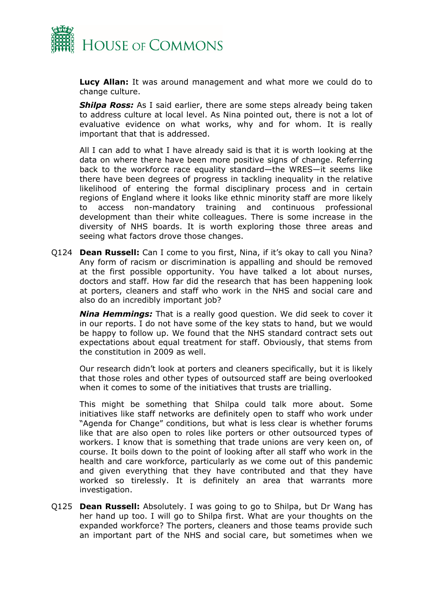

**Lucy Allan:** It was around management and what more we could do to change culture.

**Shilpa Ross:** As I said earlier, there are some steps already being taken to address culture at local level. As Nina pointed out, there is not a lot of evaluative evidence on what works, why and for whom. It is really important that that is addressed.

All I can add to what I have already said is that it is worth looking at the data on where there have been more positive signs of change. Referring back to the workforce race equality standard—the WRES—it seems like there have been degrees of progress in tackling inequality in the relative likelihood of entering the formal disciplinary process and in certain regions of England where it looks like ethnic minority staff are more likely to access non-mandatory training and continuous professional development than their white colleagues. There is some increase in the diversity of NHS boards. It is worth exploring those three areas and seeing what factors drove those changes.

Q124 **Dean Russell:** Can I come to you first, Nina, if it's okay to call you Nina? Any form of racism or discrimination is appalling and should be removed at the first possible opportunity. You have talked a lot about nurses, doctors and staff. How far did the research that has been happening look at porters, cleaners and staff who work in the NHS and social care and also do an incredibly important job?

*Nina Hemmings:* That is a really good question. We did seek to cover it in our reports. I do not have some of the key stats to hand, but we would be happy to follow up. We found that the NHS standard contract sets out expectations about equal treatment for staff. Obviously, that stems from the constitution in 2009 as well.

Our research didn't look at porters and cleaners specifically, but it is likely that those roles and other types of outsourced staff are being overlooked when it comes to some of the initiatives that trusts are trialling.

This might be something that Shilpa could talk more about. Some initiatives like staff networks are definitely open to staff who work under "Agenda for Change" conditions, but what is less clear is whether forums like that are also open to roles like porters or other outsourced types of workers. I know that is something that trade unions are very keen on, of course. It boils down to the point of looking after all staff who work in the health and care workforce, particularly as we come out of this pandemic and given everything that they have contributed and that they have worked so tirelessly. It is definitely an area that warrants more investigation.

Q125 **Dean Russell:** Absolutely. I was going to go to Shilpa, but Dr Wang has her hand up too. I will go to Shilpa first. What are your thoughts on the expanded workforce? The porters, cleaners and those teams provide such an important part of the NHS and social care, but sometimes when we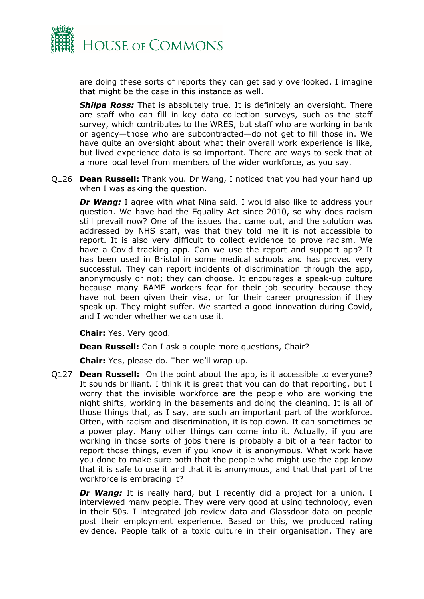

are doing these sorts of reports they can get sadly overlooked. I imagine that might be the case in this instance as well.

**Shilpa Ross:** That is absolutely true. It is definitely an oversight. There are staff who can fill in key data collection surveys, such as the staff survey, which contributes to the WRES, but staff who are working in bank or agency—those who are subcontracted—do not get to fill those in. We have quite an oversight about what their overall work experience is like, but lived experience data is so important. There are ways to seek that at a more local level from members of the wider workforce, as you say.

Q126 **Dean Russell:** Thank you. Dr Wang, I noticed that you had your hand up when I was asking the question.

**Dr Wang:** I agree with what Nina said. I would also like to address your question. We have had the Equality Act since 2010, so why does racism still prevail now? One of the issues that came out, and the solution was addressed by NHS staff, was that they told me it is not accessible to report. It is also very difficult to collect evidence to prove racism. We have a Covid tracking app. Can we use the report and support app? It has been used in Bristol in some medical schools and has proved very successful. They can report incidents of discrimination through the app, anonymously or not; they can choose. It encourages a speak-up culture because many BAME workers fear for their job security because they have not been given their visa, or for their career progression if they speak up. They might suffer. We started a good innovation during Covid, and I wonder whether we can use it.

**Chair:** Yes. Very good.

**Dean Russell:** Can I ask a couple more questions, Chair?

**Chair:** Yes, please do. Then we'll wrap up.

Q127 **Dean Russell:** On the point about the app, is it accessible to everyone? It sounds brilliant. I think it is great that you can do that reporting, but I worry that the invisible workforce are the people who are working the night shifts, working in the basements and doing the cleaning. It is all of those things that, as I say, are such an important part of the workforce. Often, with racism and discrimination, it is top down. It can sometimes be a power play. Many other things can come into it. Actually, if you are working in those sorts of jobs there is probably a bit of a fear factor to report those things, even if you know it is anonymous. What work have you done to make sure both that the people who might use the app know that it is safe to use it and that it is anonymous, and that that part of the workforce is embracing it?

*Dr Wang:* It is really hard, but I recently did a project for a union. I interviewed many people. They were very good at using technology, even in their 50s. I integrated job review data and Glassdoor data on people post their employment experience. Based on this, we produced rating evidence. People talk of a toxic culture in their organisation. They are